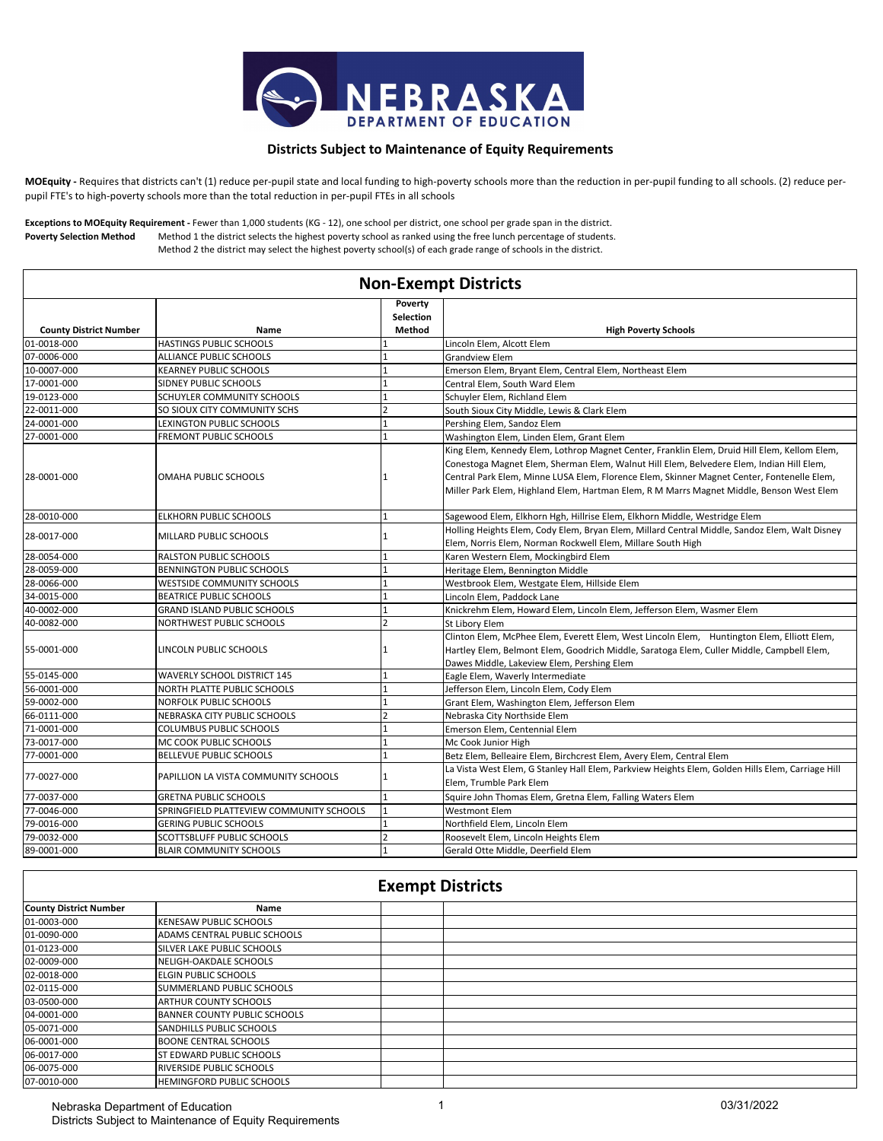

## **Districts Subject to Maintenance of Equity Requirements**

**MOEquity -** Requires that districts can't (1) reduce per-pupil state and local funding to high-poverty schools more than the reduction in per-pupil funding to all schools. (2) reduce perpupil FTE's to high-poverty schools more than the total reduction in per-pupil FTEs in all schools

**Poverty Selection Method** Method 1 the district selects the highest poverty school as ranked using the free lunch percentage of students. Method 2 the district may select the highest poverty school(s) of each grade range of schools in the district. **Exceptions to MOEquity Requirement -** Fewer than 1,000 students (KG - 12), one school per district, one school per grade span in the district.

| <b>Non-Exempt Districts</b>   |                                          |                                       |                                                                                                                                                                                                                                                                                                                                                                                    |  |
|-------------------------------|------------------------------------------|---------------------------------------|------------------------------------------------------------------------------------------------------------------------------------------------------------------------------------------------------------------------------------------------------------------------------------------------------------------------------------------------------------------------------------|--|
| <b>County District Number</b> | Name                                     | Poverty<br><b>Selection</b><br>Method | <b>High Poverty Schools</b>                                                                                                                                                                                                                                                                                                                                                        |  |
| 01-0018-000                   | HASTINGS PUBLIC SCHOOLS                  |                                       | Lincoln Elem, Alcott Elem                                                                                                                                                                                                                                                                                                                                                          |  |
| 07-0006-000                   | ALLIANCE PUBLIC SCHOOLS                  |                                       | <b>Grandview Elem</b>                                                                                                                                                                                                                                                                                                                                                              |  |
| 10-0007-000                   | <b>KEARNEY PUBLIC SCHOOLS</b>            |                                       | Emerson Elem, Bryant Elem, Central Elem, Northeast Elem                                                                                                                                                                                                                                                                                                                            |  |
| 17-0001-000                   | SIDNEY PUBLIC SCHOOLS                    |                                       | Central Elem, South Ward Elem                                                                                                                                                                                                                                                                                                                                                      |  |
| 19-0123-000                   | SCHUYLER COMMUNITY SCHOOLS               |                                       | Schuyler Elem, Richland Elem                                                                                                                                                                                                                                                                                                                                                       |  |
| 22-0011-000                   | SO SIOUX CITY COMMUNITY SCHS             | $\overline{\phantom{a}}$              | South Sioux City Middle, Lewis & Clark Elem                                                                                                                                                                                                                                                                                                                                        |  |
| 24-0001-000                   | <b>LEXINGTON PUBLIC SCHOOLS</b>          |                                       | Pershing Elem, Sandoz Elem                                                                                                                                                                                                                                                                                                                                                         |  |
| 27-0001-000                   | FREMONT PUBLIC SCHOOLS                   |                                       | Washington Elem, Linden Elem, Grant Elem                                                                                                                                                                                                                                                                                                                                           |  |
| 28-0001-000                   | OMAHA PUBLIC SCHOOLS                     | 1                                     | King Elem, Kennedy Elem, Lothrop Magnet Center, Franklin Elem, Druid Hill Elem, Kellom Elem,<br>Conestoga Magnet Elem, Sherman Elem, Walnut Hill Elem, Belvedere Elem, Indian Hill Elem,<br>Central Park Elem, Minne LUSA Elem, Florence Elem, Skinner Magnet Center, Fontenelle Elem,<br>Miller Park Elem, Highland Elem, Hartman Elem, R M Marrs Magnet Middle, Benson West Elem |  |
| 28-0010-000                   | <b>ELKHORN PUBLIC SCHOOLS</b>            | 1                                     | Sagewood Elem, Elkhorn Hgh, Hillrise Elem, Elkhorn Middle, Westridge Elem                                                                                                                                                                                                                                                                                                          |  |
| 28-0017-000                   | MILLARD PUBLIC SCHOOLS                   |                                       | Holling Heights Elem, Cody Elem, Bryan Elem, Millard Central Middle, Sandoz Elem, Walt Disney<br>Elem, Norris Elem, Norman Rockwell Elem, Millare South High                                                                                                                                                                                                                       |  |
| 28-0054-000                   | <b>RALSTON PUBLIC SCHOOLS</b>            |                                       | Karen Western Elem, Mockingbird Elem                                                                                                                                                                                                                                                                                                                                               |  |
| 28-0059-000                   | BENNINGTON PUBLIC SCHOOLS                |                                       | Heritage Elem, Bennington Middle                                                                                                                                                                                                                                                                                                                                                   |  |
| 28-0066-000                   | <b>WESTSIDE COMMUNITY SCHOOLS</b>        |                                       | Westbrook Elem, Westgate Elem, Hillside Elem                                                                                                                                                                                                                                                                                                                                       |  |
| 34-0015-000                   | <b>BEATRICE PUBLIC SCHOOLS</b>           |                                       | Lincoln Elem, Paddock Lane                                                                                                                                                                                                                                                                                                                                                         |  |
| 40-0002-000                   | <b>GRAND ISLAND PUBLIC SCHOOLS</b>       |                                       | Knickrehm Elem, Howard Elem, Lincoln Elem, Jefferson Elem, Wasmer Elem                                                                                                                                                                                                                                                                                                             |  |
| 40-0082-000                   | NORTHWEST PUBLIC SCHOOLS                 | $\overline{\phantom{a}}$              | St Libory Elem                                                                                                                                                                                                                                                                                                                                                                     |  |
| 55-0001-000                   | LINCOLN PUBLIC SCHOOLS                   |                                       | Clinton Elem, McPhee Elem, Everett Elem, West Lincoln Elem, Huntington Elem, Elliott Elem,<br>Hartley Elem, Belmont Elem, Goodrich Middle, Saratoga Elem, Culler Middle, Campbell Elem,<br>Dawes Middle, Lakeview Elem, Pershing Elem                                                                                                                                              |  |
| 55-0145-000                   | <b>WAVERLY SCHOOL DISTRICT 145</b>       |                                       | Eagle Elem, Waverly Intermediate                                                                                                                                                                                                                                                                                                                                                   |  |
| 56-0001-000                   | NORTH PLATTE PUBLIC SCHOOLS              |                                       | Jefferson Elem, Lincoln Elem, Cody Elem                                                                                                                                                                                                                                                                                                                                            |  |
| 59-0002-000                   | NORFOLK PUBLIC SCHOOLS                   |                                       | Grant Elem, Washington Elem, Jefferson Elem                                                                                                                                                                                                                                                                                                                                        |  |
| 66-0111-000                   | NEBRASKA CITY PUBLIC SCHOOLS             | $\overline{\phantom{a}}$              | Nebraska City Northside Elem                                                                                                                                                                                                                                                                                                                                                       |  |
| 71-0001-000                   | <b>COLUMBUS PUBLIC SCHOOLS</b>           |                                       | Emerson Elem, Centennial Elem                                                                                                                                                                                                                                                                                                                                                      |  |
| 73-0017-000                   | MC COOK PUBLIC SCHOOLS                   |                                       | Mc Cook Junior High                                                                                                                                                                                                                                                                                                                                                                |  |
| 77-0001-000                   | <b>BELLEVUE PUBLIC SCHOOLS</b>           |                                       | Betz Elem, Belleaire Elem, Birchcrest Elem, Avery Elem, Central Elem                                                                                                                                                                                                                                                                                                               |  |
| 77-0027-000                   | PAPILLION LA VISTA COMMUNITY SCHOOLS     |                                       | La Vista West Elem, G Stanley Hall Elem, Parkview Heights Elem, Golden Hills Elem, Carriage Hill<br>Elem, Trumble Park Elem                                                                                                                                                                                                                                                        |  |
| 77-0037-000                   | <b>GRETNA PUBLIC SCHOOLS</b>             | 1                                     | Squire John Thomas Elem, Gretna Elem, Falling Waters Elem                                                                                                                                                                                                                                                                                                                          |  |
| 77-0046-000                   | SPRINGFIELD PLATTEVIEW COMMUNITY SCHOOLS |                                       | <b>Westmont Elem</b>                                                                                                                                                                                                                                                                                                                                                               |  |
| 79-0016-000                   | <b>GERING PUBLIC SCHOOLS</b>             |                                       | Northfield Elem, Lincoln Elem                                                                                                                                                                                                                                                                                                                                                      |  |
| 79-0032-000                   | SCOTTSBLUFF PUBLIC SCHOOLS               | $\overline{2}$                        | Roosevelt Elem, Lincoln Heights Elem                                                                                                                                                                                                                                                                                                                                               |  |
| 89-0001-000                   | <b>BLAIR COMMUNITY SCHOOLS</b>           | 1                                     | Gerald Otte Middle, Deerfield Elem                                                                                                                                                                                                                                                                                                                                                 |  |

| <b>Exempt Districts</b>       |                                   |  |  |  |
|-------------------------------|-----------------------------------|--|--|--|
| <b>County District Number</b> | Name                              |  |  |  |
| 01-0003-000                   | <b>KENESAW PUBLIC SCHOOLS</b>     |  |  |  |
| 01-0090-000                   | ADAMS CENTRAL PUBLIC SCHOOLS      |  |  |  |
| 01-0123-000                   | <b>SILVER LAKE PUBLIC SCHOOLS</b> |  |  |  |
| 02-0009-000                   | NELIGH-OAKDALE SCHOOLS            |  |  |  |
| 02-0018-000                   | <b>ELGIN PUBLIC SCHOOLS</b>       |  |  |  |
| 02-0115-000                   | <b>SUMMERLAND PUBLIC SCHOOLS</b>  |  |  |  |
| 03-0500-000                   | <b>ARTHUR COUNTY SCHOOLS</b>      |  |  |  |
| 04-0001-000                   | BANNER COUNTY PUBLIC SCHOOLS      |  |  |  |
| 05-0071-000                   | <b>SANDHILLS PUBLIC SCHOOLS</b>   |  |  |  |
| 06-0001-000                   | <b>BOONE CENTRAL SCHOOLS</b>      |  |  |  |
| 06-0017-000                   | <b>ST EDWARD PUBLIC SCHOOLS</b>   |  |  |  |
| 06-0075-000                   | <b>RIVERSIDE PUBLIC SCHOOLS</b>   |  |  |  |
| 07-0010-000                   | <b>HEMINGFORD PUBLIC SCHOOLS</b>  |  |  |  |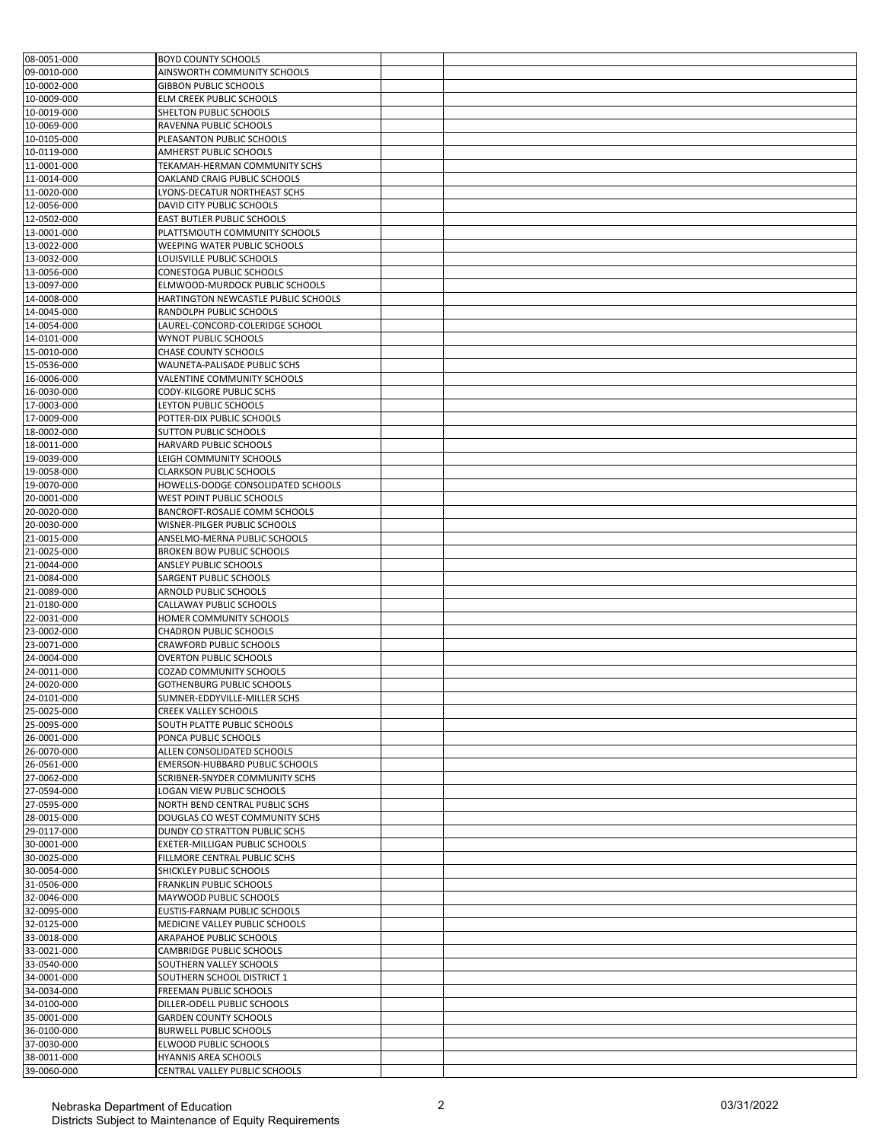| 08-0051-000                | <b>BOYD COUNTY SCHOOLS</b>                                    |  |
|----------------------------|---------------------------------------------------------------|--|
| 09-0010-000                | AINSWORTH COMMUNITY SCHOOLS                                   |  |
| 10-0002-000                | <b>GIBBON PUBLIC SCHOOLS</b>                                  |  |
| 10-0009-000                | ELM CREEK PUBLIC SCHOOLS                                      |  |
| 10-0019-000                | SHELTON PUBLIC SCHOOLS                                        |  |
| 10-0069-000                | RAVENNA PUBLIC SCHOOLS                                        |  |
| 10-0105-000                | PLEASANTON PUBLIC SCHOOLS                                     |  |
| 10-0119-000                | AMHERST PUBLIC SCHOOLS                                        |  |
| 11-0001-000                | TEKAMAH-HERMAN COMMUNITY SCHS                                 |  |
| 11-0014-000<br>11-0020-000 | OAKLAND CRAIG PUBLIC SCHOOLS<br>LYONS-DECATUR NORTHEAST SCHS  |  |
| 12-0056-000                | DAVID CITY PUBLIC SCHOOLS                                     |  |
| 12-0502-000                | EAST BUTLER PUBLIC SCHOOLS                                    |  |
| 13-0001-000                | PLATTSMOUTH COMMUNITY SCHOOLS                                 |  |
| 13-0022-000                | WEEPING WATER PUBLIC SCHOOLS                                  |  |
| 13-0032-000                | LOUISVILLE PUBLIC SCHOOLS                                     |  |
| 13-0056-000                | CONESTOGA PUBLIC SCHOOLS                                      |  |
| 13-0097-000                | ELMWOOD-MURDOCK PUBLIC SCHOOLS                                |  |
| 14-0008-000                | HARTINGTON NEWCASTLE PUBLIC SCHOOLS                           |  |
| 14-0045-000                | RANDOLPH PUBLIC SCHOOLS                                       |  |
| 14-0054-000                | LAUREL-CONCORD-COLERIDGE SCHOOL                               |  |
| 14-0101-000                | <b>WYNOT PUBLIC SCHOOLS</b>                                   |  |
| 15-0010-000                | CHASE COUNTY SCHOOLS                                          |  |
| 15-0536-000                | WAUNETA-PALISADE PUBLIC SCHS                                  |  |
| 16-0006-000<br>16-0030-000 | VALENTINE COMMUNITY SCHOOLS<br>CODY-KILGORE PUBLIC SCHS       |  |
| 17-0003-000                | LEYTON PUBLIC SCHOOLS                                         |  |
| 17-0009-000                | POTTER-DIX PUBLIC SCHOOLS                                     |  |
| 18-0002-000                | SUTTON PUBLIC SCHOOLS                                         |  |
| 18-0011-000                | HARVARD PUBLIC SCHOOLS                                        |  |
| 19-0039-000                | LEIGH COMMUNITY SCHOOLS                                       |  |
| 19-0058-000                | <b>CLARKSON PUBLIC SCHOOLS</b>                                |  |
| 19-0070-000                | HOWELLS-DODGE CONSOLIDATED SCHOOLS                            |  |
| 20-0001-000                | WEST POINT PUBLIC SCHOOLS                                     |  |
| 20-0020-000                | BANCROFT-ROSALIE COMM SCHOOLS                                 |  |
| 20-0030-000                | WISNER-PILGER PUBLIC SCHOOLS                                  |  |
| 21-0015-000                | ANSELMO-MERNA PUBLIC SCHOOLS                                  |  |
| 21-0025-000                | <b>BROKEN BOW PUBLIC SCHOOLS</b>                              |  |
| 21-0044-000                | ANSLEY PUBLIC SCHOOLS                                         |  |
| 21-0084-000                | SARGENT PUBLIC SCHOOLS                                        |  |
| 21-0089-000<br>21-0180-000 | ARNOLD PUBLIC SCHOOLS                                         |  |
| 22-0031-000                | CALLAWAY PUBLIC SCHOOLS<br>HOMER COMMUNITY SCHOOLS            |  |
| 23-0002-000                | <b>CHADRON PUBLIC SCHOOLS</b>                                 |  |
| 23-0071-000                | CRAWFORD PUBLIC SCHOOLS                                       |  |
| 24-0004-000                | <b>OVERTON PUBLIC SCHOOLS</b>                                 |  |
| 24-0011-000                | COZAD COMMUNITY SCHOOLS                                       |  |
| 24-0020-000                | GOTHENBURG PUBLIC SCHOOLS                                     |  |
| 24-0101-000                | SUMNER-EDDYVILLE-MILLER SCHS                                  |  |
| 25-0025-000                | <b>CREEK VALLEY SCHOOLS</b>                                   |  |
| 25-0095-000                | SOUTH PLATTE PUBLIC SCHOOLS                                   |  |
| 26-0001-000                | PONCA PUBLIC SCHOOLS                                          |  |
| 26-0070-000                | ALLEN CONSOLIDATED SCHOOLS                                    |  |
| 26-0561-000                | EMERSON-HUBBARD PUBLIC SCHOOLS                                |  |
| 27-0062-000                | SCRIBNER-SNYDER COMMUNITY SCHS                                |  |
| 27-0594-000<br>27-0595-000 | LOGAN VIEW PUBLIC SCHOOLS<br>NORTH BEND CENTRAL PUBLIC SCHS   |  |
| 28-0015-000                | DOUGLAS CO WEST COMMUNITY SCHS                                |  |
| 29-0117-000                | DUNDY CO STRATTON PUBLIC SCHS                                 |  |
| 30-0001-000                | EXETER-MILLIGAN PUBLIC SCHOOLS                                |  |
| 30-0025-000                | FILLMORE CENTRAL PUBLIC SCHS                                  |  |
| 30-0054-000                | SHICKLEY PUBLIC SCHOOLS                                       |  |
| 31-0506-000                | <b>FRANKLIN PUBLIC SCHOOLS</b>                                |  |
| 32-0046-000                | MAYWOOD PUBLIC SCHOOLS                                        |  |
| 32-0095-000                | EUSTIS-FARNAM PUBLIC SCHOOLS                                  |  |
| 32-0125-000                | MEDICINE VALLEY PUBLIC SCHOOLS                                |  |
| 33-0018-000                | ARAPAHOE PUBLIC SCHOOLS                                       |  |
| 33-0021-000                | CAMBRIDGE PUBLIC SCHOOLS                                      |  |
| 33-0540-000                | SOUTHERN VALLEY SCHOOLS                                       |  |
| 34-0001-000                | SOUTHERN SCHOOL DISTRICT 1                                    |  |
| 34-0034-000                | <b>FREEMAN PUBLIC SCHOOLS</b>                                 |  |
| 34-0100-000                | DILLER-ODELL PUBLIC SCHOOLS                                   |  |
| 35-0001-000<br>36-0100-000 | <b>GARDEN COUNTY SCHOOLS</b><br><b>BURWELL PUBLIC SCHOOLS</b> |  |
| 37-0030-000                | ELWOOD PUBLIC SCHOOLS                                         |  |
| 38-0011-000                | HYANNIS AREA SCHOOLS                                          |  |
| 39-0060-000                | CENTRAL VALLEY PUBLIC SCHOOLS                                 |  |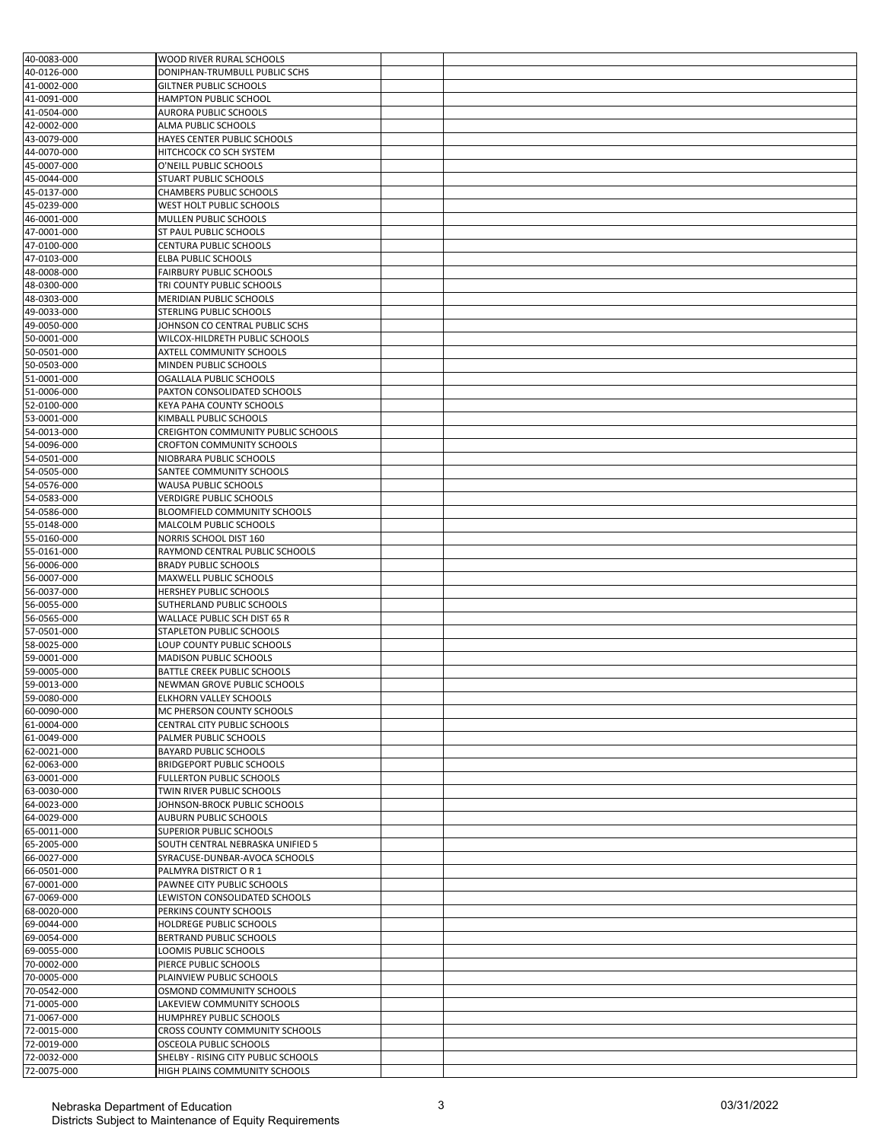| 40-0083-000 | <b>WOOD RIVER RURAL SCHOOLS</b>     |  |
|-------------|-------------------------------------|--|
| 40-0126-000 | DONIPHAN-TRUMBULL PUBLIC SCHS       |  |
| 41-0002-000 | <b>GILTNER PUBLIC SCHOOLS</b>       |  |
| 41-0091-000 | HAMPTON PUBLIC SCHOOL               |  |
| 41-0504-000 | AURORA PUBLIC SCHOOLS               |  |
| 42-0002-000 | ALMA PUBLIC SCHOOLS                 |  |
| 43-0079-000 | HAYES CENTER PUBLIC SCHOOLS         |  |
| 44-0070-000 | HITCHCOCK CO SCH SYSTEM             |  |
| 45-0007-000 | O'NEILL PUBLIC SCHOOLS              |  |
| 45-0044-000 | STUART PUBLIC SCHOOLS               |  |
| 45-0137-000 | CHAMBERS PUBLIC SCHOOLS             |  |
| 45-0239-000 | WEST HOLT PUBLIC SCHOOLS            |  |
| 46-0001-000 | MULLEN PUBLIC SCHOOLS               |  |
| 47-0001-000 | ST PAUL PUBLIC SCHOOLS              |  |
| 47-0100-000 | CENTURA PUBLIC SCHOOLS              |  |
| 47-0103-000 | ELBA PUBLIC SCHOOLS                 |  |
| 48-0008-000 | <b>FAIRBURY PUBLIC SCHOOLS</b>      |  |
| 48-0300-000 | TRI COUNTY PUBLIC SCHOOLS           |  |
| 48-0303-000 | MERIDIAN PUBLIC SCHOOLS             |  |
| 49-0033-000 | STERLING PUBLIC SCHOOLS             |  |
| 49-0050-000 | JOHNSON CO CENTRAL PUBLIC SCHS      |  |
| 50-0001-000 | WILCOX-HILDRETH PUBLIC SCHOOLS      |  |
| 50-0501-000 | AXTELL COMMUNITY SCHOOLS            |  |
| 50-0503-000 | MINDEN PUBLIC SCHOOLS               |  |
| 51-0001-000 | OGALLALA PUBLIC SCHOOLS             |  |
| 51-0006-000 | PAXTON CONSOLIDATED SCHOOLS         |  |
| 52-0100-000 | KEYA PAHA COUNTY SCHOOLS            |  |
| 53-0001-000 | KIMBALL PUBLIC SCHOOLS              |  |
| 54-0013-000 | CREIGHTON COMMUNITY PUBLIC SCHOOLS  |  |
| 54-0096-000 | CROFTON COMMUNITY SCHOOLS           |  |
| 54-0501-000 | NIOBRARA PUBLIC SCHOOLS             |  |
| 54-0505-000 | SANTEE COMMUNITY SCHOOLS            |  |
| 54-0576-000 | WAUSA PUBLIC SCHOOLS                |  |
| 54-0583-000 | VERDIGRE PUBLIC SCHOOLS             |  |
| 54-0586-000 | BLOOMFIELD COMMUNITY SCHOOLS        |  |
| 55-0148-000 | MALCOLM PUBLIC SCHOOLS              |  |
| 55-0160-000 | NORRIS SCHOOL DIST 160              |  |
| 55-0161-000 | RAYMOND CENTRAL PUBLIC SCHOOLS      |  |
| 56-0006-000 | <b>BRADY PUBLIC SCHOOLS</b>         |  |
| 56-0007-000 | MAXWELL PUBLIC SCHOOLS              |  |
| 56-0037-000 | HERSHEY PUBLIC SCHOOLS              |  |
| 56-0055-000 | SUTHERLAND PUBLIC SCHOOLS           |  |
| 56-0565-000 | WALLACE PUBLIC SCH DIST 65 R        |  |
| 57-0501-000 | STAPLETON PUBLIC SCHOOLS            |  |
| 58-0025-000 | LOUP COUNTY PUBLIC SCHOOLS          |  |
| 59-0001-000 | <b>MADISON PUBLIC SCHOOLS</b>       |  |
| 59-0005-000 | BATTLE CREEK PUBLIC SCHOOLS         |  |
| 59-0013-000 | NEWMAN GROVE PUBLIC SCHOOLS         |  |
| 59-0080-000 | ELKHORN VALLEY SCHOOLS              |  |
| 60-0090-000 | MC PHERSON COUNTY SCHOOLS           |  |
| 61-0004-000 | CENTRAL CITY PUBLIC SCHOOLS         |  |
| 61-0049-000 | PALMER PUBLIC SCHOOLS               |  |
| 62-0021-000 | BAYARD PUBLIC SCHOOLS               |  |
| 62-0063-000 | <b>BRIDGEPORT PUBLIC SCHOOLS</b>    |  |
| 63-0001-000 | <b>FULLERTON PUBLIC SCHOOLS</b>     |  |
| 63-0030-000 | TWIN RIVER PUBLIC SCHOOLS           |  |
| 64-0023-000 | JOHNSON-BROCK PUBLIC SCHOOLS        |  |
| 64-0029-000 | <b>AUBURN PUBLIC SCHOOLS</b>        |  |
| 65-0011-000 | SUPERIOR PUBLIC SCHOOLS             |  |
| 65-2005-000 | SOUTH CENTRAL NEBRASKA UNIFIED 5    |  |
| 66-0027-000 | SYRACUSE-DUNBAR-AVOCA SCHOOLS       |  |
| 66-0501-000 | PALMYRA DISTRICT OR 1               |  |
| 67-0001-000 | PAWNEE CITY PUBLIC SCHOOLS          |  |
| 67-0069-000 | LEWISTON CONSOLIDATED SCHOOLS       |  |
| 68-0020-000 | PERKINS COUNTY SCHOOLS              |  |
| 69-0044-000 | HOLDREGE PUBLIC SCHOOLS             |  |
| 69-0054-000 | BERTRAND PUBLIC SCHOOLS             |  |
| 69-0055-000 | LOOMIS PUBLIC SCHOOLS               |  |
| 70-0002-000 | PIERCE PUBLIC SCHOOLS               |  |
| 70-0005-000 | PLAINVIEW PUBLIC SCHOOLS            |  |
| 70-0542-000 | OSMOND COMMUNITY SCHOOLS            |  |
| 71-0005-000 | LAKEVIEW COMMUNITY SCHOOLS          |  |
| 71-0067-000 | HUMPHREY PUBLIC SCHOOLS             |  |
| 72-0015-000 | CROSS COUNTY COMMUNITY SCHOOLS      |  |
| 72-0019-000 | OSCEOLA PUBLIC SCHOOLS              |  |
| 72-0032-000 | SHELBY - RISING CITY PUBLIC SCHOOLS |  |
| 72-0075-000 | HIGH PLAINS COMMUNITY SCHOOLS       |  |